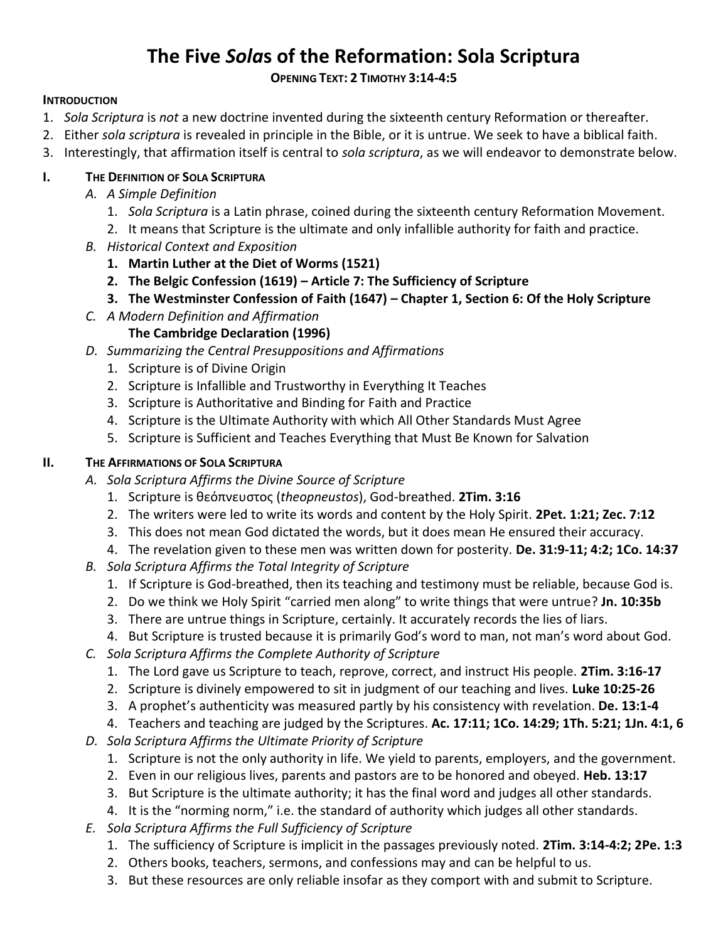# **The Five** *Sola***s of the Reformation: Sola Scriptura**

#### **OPENING TEXT: 2 TIMOTHY 3:14-4:5**

#### **INTRODUCTION**

- 1. *Sola Scriptura* is *not* a new doctrine invented during the sixteenth century Reformation or thereafter.
- 2. Either *sola scriptura* is revealed in principle in the Bible, or it is untrue. We seek to have a biblical faith.
- 3. Interestingly, that affirmation itself is central to *sola scriptura*, as we will endeavor to demonstrate below.

# **I. THE DEFINITION OF SOLA SCRIPTURA**

- *A. A Simple Definition*
	- 1. *Sola Scriptura* is a Latin phrase, coined during the sixteenth century Reformation Movement.
	- 2. It means that Scripture is the ultimate and only infallible authority for faith and practice.
- *B. Historical Context and Exposition*
	- **1. Martin Luther at the Diet of Worms (1521)**
	- **2. The Belgic Confession (1619) – Article 7: The Sufficiency of Scripture**
	- **3. The Westminster Confession of Faith (1647) – Chapter 1, Section 6: Of the Holy Scripture**
- *C. A Modern Definition and Affirmation*

# **The Cambridge Declaration (1996)**

- *D. Summarizing the Central Presuppositions and Affirmations*
	- 1. Scripture is of Divine Origin
	- 2. Scripture is Infallible and Trustworthy in Everything It Teaches
	- 3. Scripture is Authoritative and Binding for Faith and Practice
	- 4. Scripture is the Ultimate Authority with which All Other Standards Must Agree
	- 5. Scripture is Sufficient and Teaches Everything that Must Be Known for Salvation

### **II. THE AFFIRMATIONS OF SOLA SCRIPTURA**

- *A. Sola Scriptura Affirms the Divine Source of Scripture*
	- 1. Scripture is θεόπνευστος (*theopneustos*), God-breathed. **2Tim. 3:16**
	- 2. The writers were led to write its words and content by the Holy Spirit. **2Pet. 1:21; Zec. 7:12**
	- 3. This does not mean God dictated the words, but it does mean He ensured their accuracy.
	- 4. The revelation given to these men was written down for posterity. **De. 31:9-11; 4:2; 1Co. 14:37**
- *B. Sola Scriptura Affirms the Total Integrity of Scripture*
	- 1. If Scripture is God-breathed, then its teaching and testimony must be reliable, because God is.
	- 2. Do we think we Holy Spirit "carried men along" to write things that were untrue? **Jn. 10:35b**
	- 3. There are untrue things in Scripture, certainly. It accurately records the lies of liars.
	- 4. But Scripture is trusted because it is primarily God's word to man, not man's word about God.
- *C. Sola Scriptura Affirms the Complete Authority of Scripture*
	- 1. The Lord gave us Scripture to teach, reprove, correct, and instruct His people. **2Tim. 3:16-17**
	- 2. Scripture is divinely empowered to sit in judgment of our teaching and lives. **Luke 10:25-26**
	- 3. A prophet's authenticity was measured partly by his consistency with revelation. **De. 13:1-4**

4. Teachers and teaching are judged by the Scriptures. **Ac. 17:11; 1Co. 14:29; 1Th. 5:21; 1Jn. 4:1, 6**

- *D. Sola Scriptura Affirms the Ultimate Priority of Scripture*
	- 1. Scripture is not the only authority in life. We yield to parents, employers, and the government.
	- 2. Even in our religious lives, parents and pastors are to be honored and obeyed. **Heb. 13:17**
	- 3. But Scripture is the ultimate authority; it has the final word and judges all other standards.
	- 4. It is the "norming norm," i.e. the standard of authority which judges all other standards.
- *E. Sola Scriptura Affirms the Full Sufficiency of Scripture*
	- 1. The sufficiency of Scripture is implicit in the passages previously noted. **2Tim. 3:14-4:2; 2Pe. 1:3**
	- 2. Others books, teachers, sermons, and confessions may and can be helpful to us.
	- 3. But these resources are only reliable insofar as they comport with and submit to Scripture.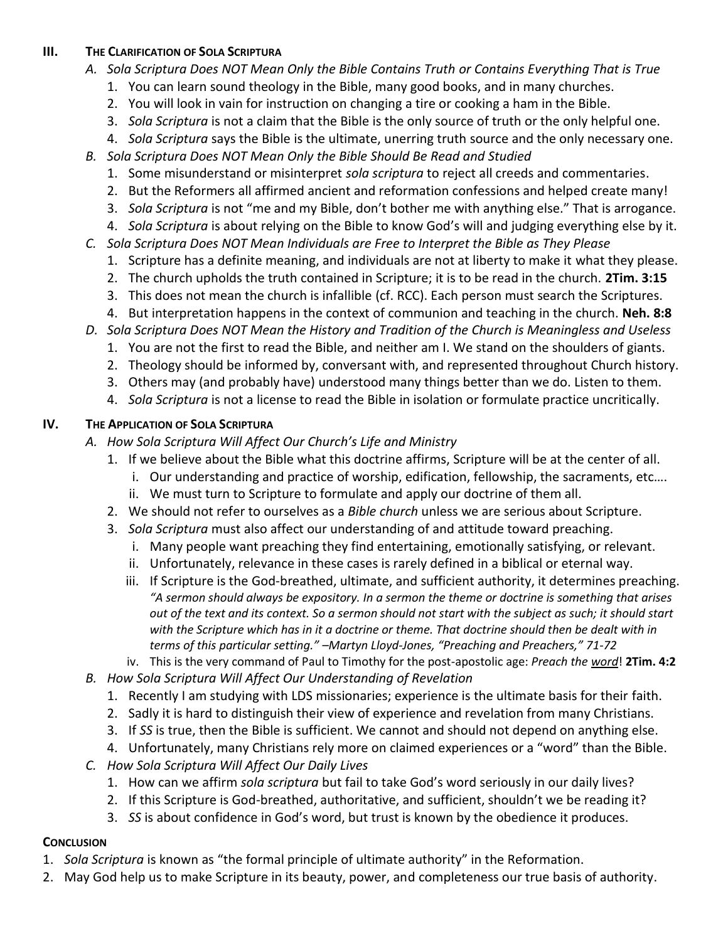# **III. THE CLARIFICATION OF SOLA SCRIPTURA**

- *A. Sola Scriptura Does NOT Mean Only the Bible Contains Truth or Contains Everything That is True*
	- 1. You can learn sound theology in the Bible, many good books, and in many churches.
	- 2. You will look in vain for instruction on changing a tire or cooking a ham in the Bible.
	- 3. *Sola Scriptura* is not a claim that the Bible is the only source of truth or the only helpful one.
	- 4. *Sola Scriptura* says the Bible is the ultimate, unerring truth source and the only necessary one.
- *B. Sola Scriptura Does NOT Mean Only the Bible Should Be Read and Studied*
	- 1. Some misunderstand or misinterpret *sola scriptura* to reject all creeds and commentaries.
	- 2. But the Reformers all affirmed ancient and reformation confessions and helped create many!
	- 3. *Sola Scriptura* is not "me and my Bible, don't bother me with anything else." That is arrogance.
	- 4. *Sola Scriptura* is about relying on the Bible to know God's will and judging everything else by it.
- *C. Sola Scriptura Does NOT Mean Individuals are Free to Interpret the Bible as They Please*
	- 1. Scripture has a definite meaning, and individuals are not at liberty to make it what they please.
	- 2. The church upholds the truth contained in Scripture; it is to be read in the church. **2Tim. 3:15**
	- 3. This does not mean the church is infallible (cf. RCC). Each person must search the Scriptures.
	- 4. But interpretation happens in the context of communion and teaching in the church. **Neh. 8:8**
- *D. Sola Scriptura Does NOT Mean the History and Tradition of the Church is Meaningless and Useless*
	- 1. You are not the first to read the Bible, and neither am I. We stand on the shoulders of giants.
	- 2. Theology should be informed by, conversant with, and represented throughout Church history.
	- 3. Others may (and probably have) understood many things better than we do. Listen to them.
	- 4. *Sola Scriptura* is not a license to read the Bible in isolation or formulate practice uncritically.

#### **IV. THE APPLICATION OF SOLA SCRIPTURA**

- *A. How Sola Scriptura Will Affect Our Church's Life and Ministry*
	- 1. If we believe about the Bible what this doctrine affirms, Scripture will be at the center of all.
		- i. Our understanding and practice of worship, edification, fellowship, the sacraments, etc….
		- ii. We must turn to Scripture to formulate and apply our doctrine of them all.
	- 2. We should not refer to ourselves as a *Bible church* unless we are serious about Scripture.
	- 3. *Sola Scriptura* must also affect our understanding of and attitude toward preaching.
		- i. Many people want preaching they find entertaining, emotionally satisfying, or relevant.
		- ii. Unfortunately, relevance in these cases is rarely defined in a biblical or eternal way.
		- iii. If Scripture is the God-breathed, ultimate, and sufficient authority, it determines preaching. *"A sermon should always be expository. In a sermon the theme or doctrine is something that arises out of the text and its context. So a sermon should not start with the subject as such; it should start with the Scripture which has in it a doctrine or theme. That doctrine should then be dealt with in terms of this particular setting." –Martyn Lloyd-Jones, "Preaching and Preachers," 71-72*
	- iv. This is the very command of Paul to Timothy for the post-apostolic age: *Preach the word*! **2Tim. 4:2**
- *B. How Sola Scriptura Will Affect Our Understanding of Revelation*
	- 1. Recently I am studying with LDS missionaries; experience is the ultimate basis for their faith.
	- 2. Sadly it is hard to distinguish their view of experience and revelation from many Christians.
	- 3. If *SS* is true, then the Bible is sufficient. We cannot and should not depend on anything else.
	- 4. Unfortunately, many Christians rely more on claimed experiences or a "word" than the Bible.
- *C. How Sola Scriptura Will Affect Our Daily Lives*
	- 1. How can we affirm *sola scriptura* but fail to take God's word seriously in our daily lives?
	- 2. If this Scripture is God-breathed, authoritative, and sufficient, shouldn't we be reading it?
	- 3. *SS* is about confidence in God's word, but trust is known by the obedience it produces.

#### **CONCLUSION**

- 1. *Sola Scriptura* is known as "the formal principle of ultimate authority" in the Reformation.
- 2. May God help us to make Scripture in its beauty, power, and completeness our true basis of authority.